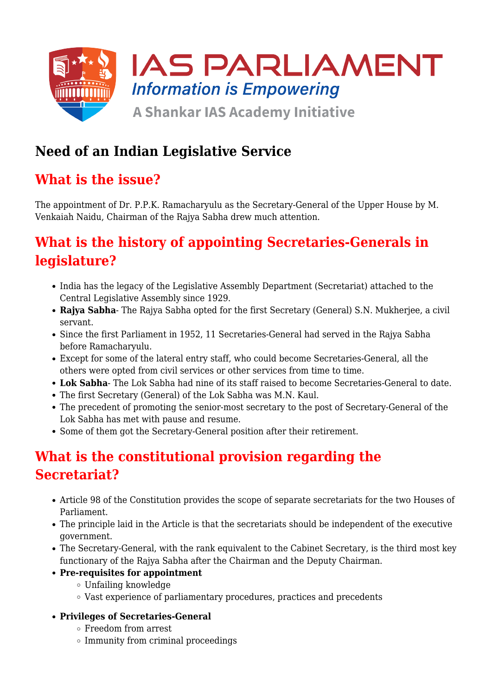

# **Need of an Indian Legislative Service**

### **What is the issue?**

The appointment of Dr. P.P.K. Ramacharyulu as the Secretary-General of the Upper House by M. Venkaiah Naidu, Chairman of the Rajya Sabha drew much attention.

# **What is the history of appointing Secretaries-Generals in legislature?**

- India has the legacy of the Legislative Assembly Department (Secretariat) attached to the Central Legislative Assembly since 1929.
- **Rajya Sabha** The Rajya Sabha opted for the first Secretary (General) S.N. Mukherjee, a civil servant.
- Since the first Parliament in 1952, 11 Secretaries-General had served in the Rajya Sabha before Ramacharyulu.
- Except for some of the lateral entry staff, who could become Secretaries-General, all the others were opted from civil services or other services from time to time.
- **Lok Sabha** The Lok Sabha had nine of its staff raised to become Secretaries-General to date.
- The first Secretary (General) of the Lok Sabha was M.N. Kaul.
- The precedent of promoting the senior-most secretary to the post of Secretary-General of the Lok Sabha has met with pause and resume.
- Some of them got the Secretary-General position after their retirement.

# **What is the constitutional provision regarding the Secretariat?**

- Article 98 of the Constitution provides the scope of separate secretariats for the two Houses of Parliament.
- The principle laid in the Article is that the secretariats should be independent of the executive government.
- The Secretary-General, with the rank equivalent to the Cabinet Secretary, is the third most key functionary of the Rajya Sabha after the Chairman and the Deputy Chairman.
- **Pre-requisites for appointment**
	- Unfailing knowledge
	- Vast experience of parliamentary procedures, practices and precedents
- **Privileges of Secretaries-General**
	- Freedom from arrest
	- $\circ$  Immunity from criminal proceedings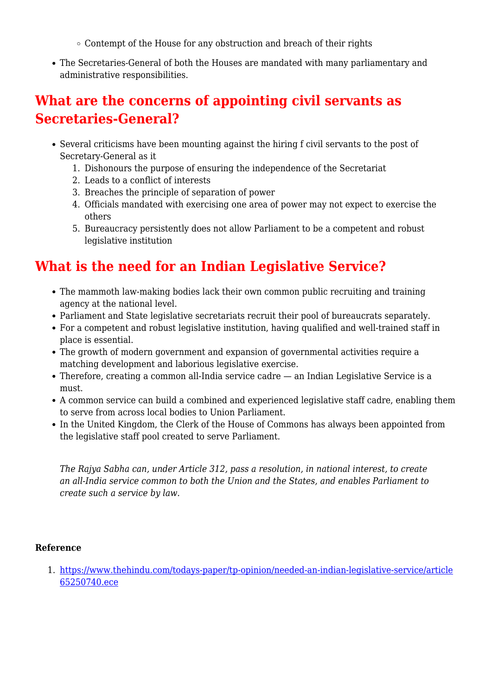- $\circ$  Contempt of the House for any obstruction and breach of their rights
- The Secretaries-General of both the Houses are mandated with many parliamentary and administrative responsibilities.

#### **What are the concerns of appointing civil servants as Secretaries-General?**

- Several criticisms have been mounting against the hiring f civil servants to the post of Secretary-General as it
	- 1. Dishonours the purpose of ensuring the independence of the Secretariat
	- 2. Leads to a conflict of interests
	- 3. Breaches the principle of separation of power
	- 4. Officials mandated with exercising one area of power may not expect to exercise the others
	- 5. Bureaucracy persistently does not allow Parliament to be a competent and robust legislative institution

### **What is the need for an Indian Legislative Service?**

- The mammoth law-making bodies lack their own common public recruiting and training agency at the national level.
- Parliament and State legislative secretariats recruit their pool of bureaucrats separately.
- For a competent and robust legislative institution, having qualified and well-trained staff in place is essential.
- The growth of modern government and expansion of governmental activities require a matching development and laborious legislative exercise.
- Therefore, creating a common all-India service cadre an Indian Legislative Service is a must.
- A common service can build a combined and experienced legislative staff cadre, enabling them to serve from across local bodies to Union Parliament.
- In the United Kingdom, the Clerk of the House of Commons has always been appointed from the legislative staff pool created to serve Parliament.

*The Rajya Sabha can, under Article 312, pass a resolution, in national interest, to create an all-India service common to both the Union and the States, and enables Parliament to create such a service by law.*

#### **Reference**

1. [https://www.thehindu.com/todays-paper/tp-opinion/needed-an-indian-legislative-service/article](https://www.thehindu.com/todays-paper/tp-opinion/needed-an-indian-legislative-service/article65250740.ece) [65250740.ece](https://www.thehindu.com/todays-paper/tp-opinion/needed-an-indian-legislative-service/article65250740.ece)